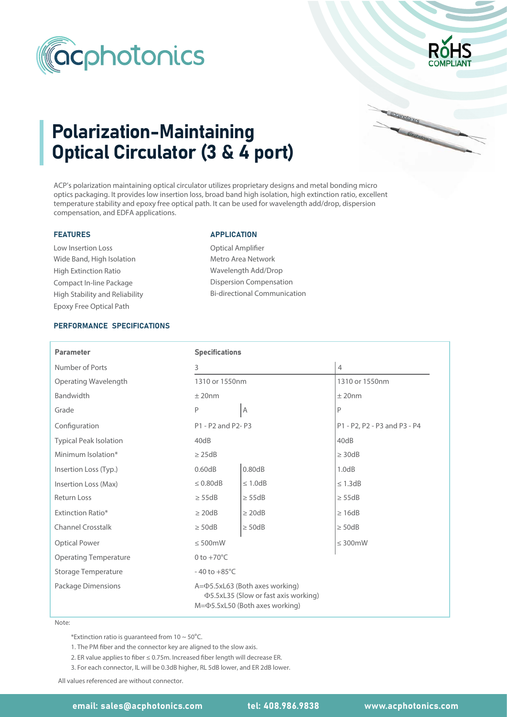



cocphotonics

# Polarization-Maintaining Optical Circulator (3 & 4 port)

ACP's polarization maintaining optical circulator utilizes proprietary designs and metal bonding micro optics packaging. It provides low insertion loss, broad band high isolation, high extinction ratio, excellent temperature stability and epoxy free optical path. It can be used for wavelength add/drop, dispersion compensation, and EDFA applications.

## FEATURES

Wide Band, High Isolation Low Insertion Loss High Extinction Ratio Compact In-line Package Epoxy Free Optical Path High Stability and Reliability

#### APPLICATION

Optical Amplifier Metro Area Network Wavelength Add/Drop Dispersion Compensation Bi-directional Communication

## PERFORMANCE SPECIFICATIONS

| <b>Parameter</b>              | <b>Specifications</b>                                                                                                           |               |                              |  |  |  |
|-------------------------------|---------------------------------------------------------------------------------------------------------------------------------|---------------|------------------------------|--|--|--|
| Number of Ports               | 3                                                                                                                               |               | $\overline{4}$               |  |  |  |
| Operating Wavelength          | 1310 or 1550nm                                                                                                                  |               | 1310 or 1550nm               |  |  |  |
| Bandwidth                     | $±$ 20nm                                                                                                                        |               | $±$ 20nm                     |  |  |  |
| Grade                         | P                                                                                                                               | A             | P                            |  |  |  |
| Configuration                 | P1 - P2 and P2- P3                                                                                                              |               | P1 - P2, P2 - P3 and P3 - P4 |  |  |  |
| <b>Typical Peak Isolation</b> | 40dB                                                                                                                            |               | 40dB                         |  |  |  |
| Minimum Isolation*            | $\geq$ 25dB                                                                                                                     |               | $\geq$ 30dB                  |  |  |  |
| Insertion Loss (Typ.)         | 0.60dB                                                                                                                          | 0.80dB        | 1.0dB                        |  |  |  |
| Insertion Loss (Max)          | $\leq 0.80$ dB                                                                                                                  | $\leq 1.0$ dB | $\leq$ 1.3dB                 |  |  |  |
| <b>Return Loss</b>            | $\geq$ 55dB                                                                                                                     | $\geq$ 55dB   | $\geq$ 55dB                  |  |  |  |
| <b>Extinction Ratio*</b>      | $\geq$ 20dB                                                                                                                     | $\geq$ 20dB   | $\geq 16dB$                  |  |  |  |
| <b>Channel Crosstalk</b>      | $\geq$ 50dB                                                                                                                     | $\geq$ 50dB   | $\geq$ 50dB                  |  |  |  |
| <b>Optical Power</b>          | $\leq 500$ mW                                                                                                                   |               | $\leq 300$ mW                |  |  |  |
| <b>Operating Temperature</b>  | 0 to $+70^{\circ}$ C                                                                                                            |               |                              |  |  |  |
| Storage Temperature           | $-40$ to $+85^{\circ}$ C                                                                                                        |               |                              |  |  |  |
| Package Dimensions            | $A = \Phi$ 5.5xL63 (Both axes working)<br><b>Φ5.5xL35 (Slow or fast axis working)</b><br>$M = \Phi$ 5.5xL50 (Both axes working) |               |                              |  |  |  |

#### Note:

\*Extinction ratio is guaranteed from  $10 \sim 50^{\circ}$ C.

1. The PM fiber and the connector key are aligned to the slow axis.

- 2. ER value applies to fiber ≤ 0.75m. Increased fiber length will decrease ER.
- 3. For each connector, IL will be 0.3dB higher, RL 5dB lower, and ER 2dB lower.

All values referenced are without connector.